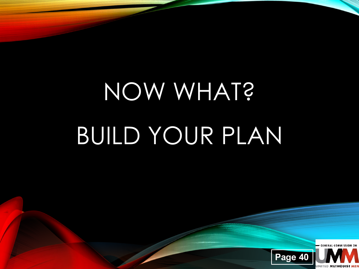## NOW WHAT? BUILD YOUR PLAN

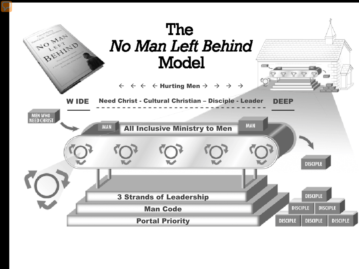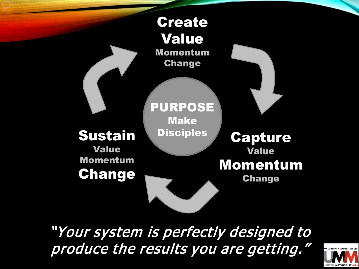

"Your system is perfectly designed to produce the results you are getting.'

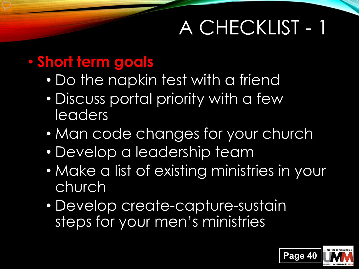#### A CHECKLIST - 1

#### • **Short term goals**

- Do the napkin test with a friend
- Discuss portal priority with a few leaders
- Man code changes for your church
- Develop a leadership team
- Make a list of existing ministries in your church
- Develop create-capture-sustain steps for your men's ministries

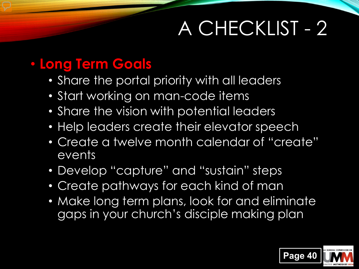### A CHECKLIST - 2

#### • **Long Term Goals**

- Share the portal priority with all leaders
- Start working on man-code items
- Share the vision with potential leaders
- Help leaders create their elevator speech
- Create a twelve month calendar of "create" events
- Develop "capture" and "sustain" steps
- Create pathways for each kind of man
- Make long term plans, look for and eliminate gaps in your church's disciple making plan

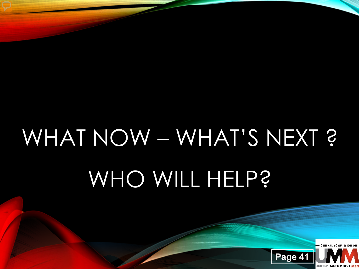## WHAT NOW – WHAT'S NEXT ? WHO WILL HELP?

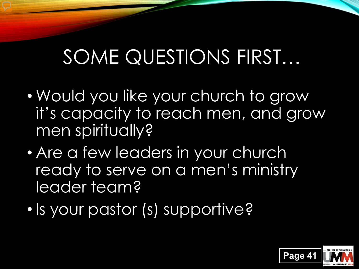#### SOME QUESTIONS FIRST…

- Would you like your church to grow it's capacity to reach men, and grow men spiritually?
- Are a few leaders in your church ready to serve on a men's ministry leader team?
- Is your pastor (s) supportive?

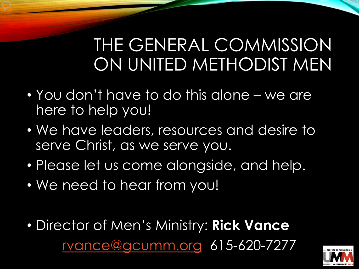#### THE GENERAL COMMISSION ON UNITED METHODIST MEN

- You don't have to do this alone we are here to help you!
- We have leaders, resources and desire to serve Christ, as we serve you.
- Please let us come alongside, and help.
- We need to hear from you!
- Director of Men's Ministry: **Rick Vance** [rvance@gcumm.org](about:blank) 615-620-7277

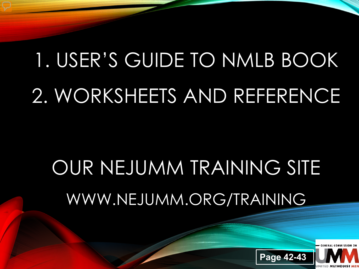### 1. USER'S GUIDE TO NMLB BOOK 2. WORKSHEETS AND REFERENCE

### OUR NEJUMM TRAINING SITE WWW.NEJUMM.ORG/TRAINING